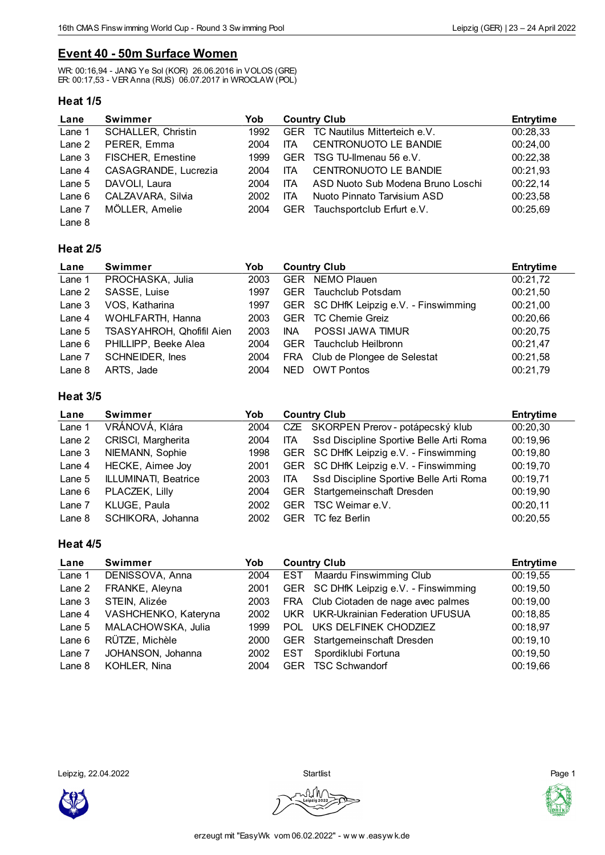## **Event 40 - 50m Surface Women**

WR: 00:16,94 - JANG Ye Sol (KOR) 26.06.2016 in VOLOS (GRE) ER: 00:17,53 - VER Anna (RUS) 06.07.2017 in WROCLAW (POL)

### **Heat 1/5**

| Lane     | <b>Swimmer</b>            | Yob  | <b>Country Club</b> |                                   | <b>Entrytime</b> |
|----------|---------------------------|------|---------------------|-----------------------------------|------------------|
| Lane 1   | <b>SCHALLER, Christin</b> | 1992 | <b>GER</b>          | TC Nautilus Mitterteich e.V.      | 00:28,33         |
| Lane 2   | PERER, Emma               | 2004 | <b>ITA</b>          | <b>CENTRONUOTO LE BANDIE</b>      | 00:24,00         |
| Lane 3   | <b>FISCHER, Ernestine</b> | 1999 | <b>GER</b>          | TSG TU-Ilmenau 56 e.V.            | 00:22,38         |
| Lane 4   | CASAGRANDE, Lucrezia      | 2004 | ITA                 | <b>CENTRONUOTO LE BANDIE</b>      | 00:21,93         |
| Lane $5$ | DAVOLI, Laura             | 2004 | <b>ITA</b>          | ASD Nuoto Sub Modena Bruno Loschi | 00:22,14         |
| Lane $6$ | CALZAVARA, Silvia         | 2002 | ITA                 | Nuoto Pinnato Tarvisium ASD       | 00:23,58         |
| Lane 7   | MÖLLER, Amelie            | 2004 | <b>GER</b>          | Tauchsportclub Erfurt e.V.        | 00:25,69         |
| Lane 8   |                           |      |                     |                                   |                  |

### **Heat 2/5**

| Lane     | <b>Swimmer</b>            | Yob  | <b>Country Club</b> |                                        | <b>Entrytime</b> |
|----------|---------------------------|------|---------------------|----------------------------------------|------------------|
| Lane 1   | PROCHASKA, Julia          | 2003 |                     | GER NEMO Plauen                        | 00:21,72         |
| Lane 2   | SASSE, Luise              | 1997 | <b>GER</b>          | Tauchclub Potsdam                      | 00:21,50         |
| Lane 3   | VOS, Katharina            | 1997 |                     | GER SC DHfK Leipzig e.V. - Finswimming | 00:21,00         |
| Lane 4   | WOHLFARTH, Hanna          | 2003 | <b>GER</b>          | <b>TC Chemie Greiz</b>                 | 00:20,66         |
| Lane $5$ | TSASYAHROH, Qhofifil Aien | 2003 | <b>INA</b>          | POSSI JAWA TIMUR                       | 00:20,75         |
| Lane $6$ | PHILLIPP, Beeke Alea      | 2004 | GER.                | Tauchclub Heilbronn                    | 00:21,47         |
| Lane 7   | <b>SCHNEIDER, Ines</b>    | 2004 |                     | FRA Club de Plongee de Selestat        | 00:21,58         |
| Lane 8   | ARTS, Jade                | 2004 | NED.                | <b>OWT Pontos</b>                      | 00:21,79         |

### **Heat 3/5**

| Lane     | Swimmer              | Yob  | <b>Country Club</b> |                                         | <b>Entrytime</b> |
|----------|----------------------|------|---------------------|-----------------------------------------|------------------|
| Lane 1   | VRÁNOVÁ, Klára       | 2004 |                     | CZE SKORPEN Prerov - potápecský klub    | 00:20,30         |
| Lane 2   | CRISCI, Margherita   | 2004 | <b>ITA</b>          | Ssd Discipline Sportive Belle Arti Roma | 00:19,96         |
| Lane 3   | NIEMANN, Sophie      | 1998 |                     | GER SC DHfK Leipzig e.V. - Finswimming  | 00:19,80         |
| Lane 4   | HECKE, Aimee Joy     | 2001 |                     | GER SC DHfK Leipzig e.V. - Finswimming  | 00:19,70         |
| Lane $5$ | ILLUMINATI, Beatrice | 2003 | ITA.                | Ssd Discipline Sportive Belle Arti Roma | 00:19,71         |
| Lane $6$ | PLACZEK, Lilly       | 2004 |                     | GER Startgemeinschaft Dresden           | 00:19,90         |
| Lane 7   | KLUGE, Paula         | 2002 | <b>GER</b>          | TSC Weimar e.V.                         | 00:20,11         |
| Lane $8$ | SCHIKORA, Johanna    | 2002 | <b>GER</b>          | TC fez Berlin                           | 00:20,55         |

### **Heat 4/5**

| Lane     | Swimmer              | Yob  | <b>Country Club</b> |                                        | <b>Entrytime</b> |
|----------|----------------------|------|---------------------|----------------------------------------|------------------|
| Lane 1   | DENISSOVA, Anna      | 2004 | EST                 | <b>Maardu Finswimming Club</b>         | 00:19,55         |
| Lane 2   | FRANKE, Aleyna       | 2001 |                     | GER SC DHfK Leipzig e.V. - Finswimming | 00:19,50         |
| Lane $3$ | STEIN, Alizée        | 2003 |                     | FRA Club Ciotaden de nage avec palmes  | 00:19,00         |
| Lane 4   | VASHCHENKO, Kateryna | 2002 |                     | UKR UKR-Ukrainian Federation UFUSUA    | 00:18,85         |
| Lane $5$ | MALACHOWSKA, Julia   | 1999 | POL                 | UKS DELFINEK CHODZIEZ                  | 00:18,97         |
| Lane $6$ | RÜTZE, Michèle       | 2000 |                     | GER Startgemeinschaft Dresden          | 00:19,10         |
| Lane 7   | JOHANSON, Johanna    | 2002 | EST                 | Spordiklubi Fortuna                    | 00:19,50         |
| Lane $8$ | KOHLER, Nina         | 2004 | <b>GER</b>          | <b>TSC Schwandorf</b>                  | 00:19,66         |

Leipzig, 22.04.2022 Startlist Page 1